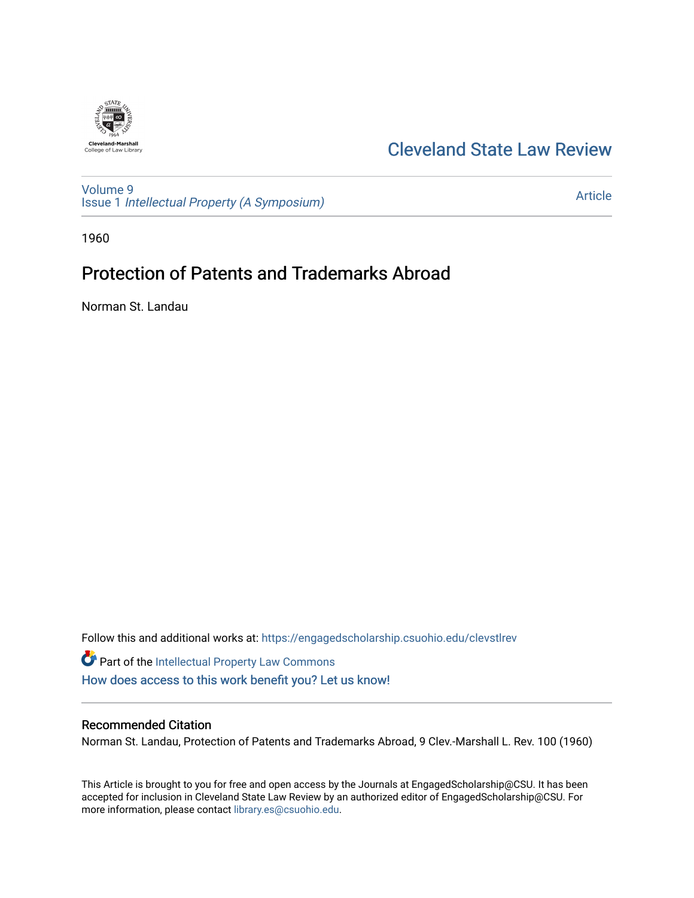

# [Cleveland State Law Review](https://engagedscholarship.csuohio.edu/clevstlrev)

[Volume 9](https://engagedscholarship.csuohio.edu/clevstlrev/vol9) Issue 1 [Intellectual Property \(A Symposium\)](https://engagedscholarship.csuohio.edu/clevstlrev/vol9/iss1) 

[Article](https://engagedscholarship.csuohio.edu/clevstlrev/vol9/iss1/14) 

1960

# Protection of Patents and Trademarks Abroad

Norman St. Landau

Follow this and additional works at: [https://engagedscholarship.csuohio.edu/clevstlrev](https://engagedscholarship.csuohio.edu/clevstlrev?utm_source=engagedscholarship.csuohio.edu%2Fclevstlrev%2Fvol9%2Fiss1%2F14&utm_medium=PDF&utm_campaign=PDFCoverPages)

Part of the [Intellectual Property Law Commons](http://network.bepress.com/hgg/discipline/896?utm_source=engagedscholarship.csuohio.edu%2Fclevstlrev%2Fvol9%2Fiss1%2F14&utm_medium=PDF&utm_campaign=PDFCoverPages)  [How does access to this work benefit you? Let us know!](http://library.csuohio.edu/engaged/)

## Recommended Citation

Norman St. Landau, Protection of Patents and Trademarks Abroad, 9 Clev.-Marshall L. Rev. 100 (1960)

This Article is brought to you for free and open access by the Journals at EngagedScholarship@CSU. It has been accepted for inclusion in Cleveland State Law Review by an authorized editor of EngagedScholarship@CSU. For more information, please contact [library.es@csuohio.edu](mailto:library.es@csuohio.edu).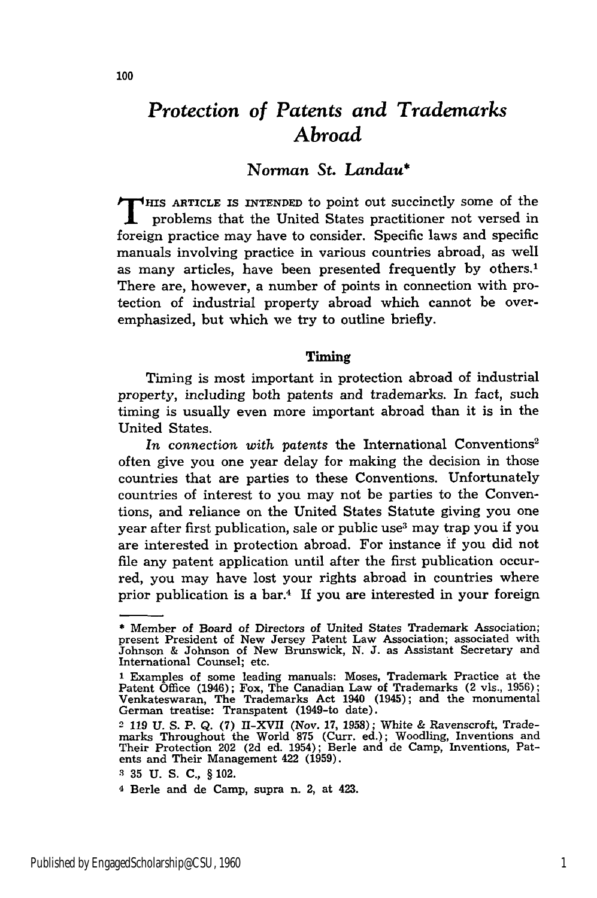# *Protection of Patents and Trademarks Abroad*

## *Norman St. Landau\**

**T HIS ARTICLE IS INTENDED** to point out succinctly some of the problems that the United States practitioner not versed in foreign practice may have to consider. Specific laws and specific manuals involving practice in various countries abroad, as well as many articles, have been presented frequently **by** others.' There are, however, a number of points in connection with protection of industrial property abroad which cannot be overemphasized, but which we try to outline briefly.

#### Timing

Timing is most important in protection abroad of industrial property, including both patents and trademarks. In fact, such timing is usually even more important abroad than it is in the United States.

In connection with patents the International Conventions<sup>2</sup> often give you one year delay for making the decision in those countries that are parties to these Conventions. Unfortunately countries of interest to you may not be parties to the Conventions, and reliance on the United States Statute giving you one year after first publication, sale or public use<sup>3</sup> may trap you if you are interested in protection abroad. For instance if you did not file any patent application until after the first publication occurred, you may have lost your rights abroad in countries where prior publication is a bar.4 If you are interested in your foreign

<sup>\*</sup> Member of Board of Directors of United States Trademark Association; present President of New Jersey Patent Law Association; associated with Johnson & Johnson of New Brunswick, **N.** J. as Assistant Secretary and International Counsel; etc.

**<sup>1</sup>** Examples of some leading manuals: Moses, Trademark Practice at the Patent Office (1946); Fox, The Canadian Law of Trademarks (2 vls., 1956) Venkateswaran, The Trademarks Act 1940 (1945); and the monumental German treatise: Transpatent (1949-to date).

<sup>2</sup> **119** U. S. **P.** Q. (7) ll-XVII (Nov. 17, 1958); White & Ravenscroft, Trademarks Throughout the World **875** (Curr. ed.); Woodling, Inventions and Their Protection 202 (2d ed. 1954); Berle and de Camp, Inventions, Pat-ents and Their Management 422 (1959).

**<sup>3 35</sup>** U. S. **C.,** § 102.

**<sup>4</sup>** Berle and de Camp, supra n. 2, at 423.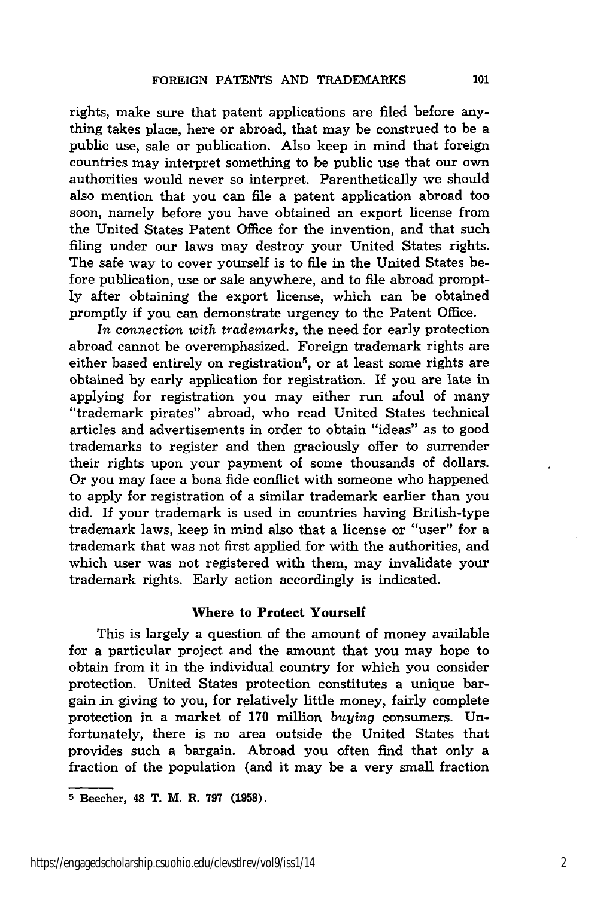rights, make sure that patent applications are filed before anything takes place, here or abroad, that may be construed to be a public use, sale or publication. Also keep in mind that foreign countries may interpret something to be public use that our own authorities would never so interpret. Parenthetically we should also mention that you can file a patent application abroad too soon, namely before you have obtained an export license from the United States Patent Office for the invention, and that such filing under our laws may destroy your United States rights. The safe way to cover yourself is to file in the United States before publication, use or sale anywhere, and to fie abroad promptly after obtaining the export license, which can be obtained promptly if you can demonstrate urgency to the Patent Office.

*In connection with trademarks,* the need for early protection abroad cannot be overemphasized. Foreign trademark rights are either based entirely on registration<sup>5</sup>, or at least some rights are obtained by early application for registration. **If** you are late in applying for registration you may either run afoul of many "trademark pirates" abroad, who read United States technical articles and advertisements in order to obtain "ideas" as to good trademarks to register and then graciously offer to surrender their rights upon your payment of some thousands of dollars. Or you may face a bona fide conflict with someone who happened to apply for registration of a similar trademark earlier than you did. If your trademark is used in countries having British-type trademark laws, keep in mind also that a license or "user" for a trademark that was not first applied for with the authorities, and which user was not registered with them, may invalidate your trademark rights. Early action accordingly is indicated.

#### Where to **Protect Yourself**

This is largely a question of the amount of money available for a particular project and the amount that you may hope to obtain from it in the individual country for which you consider protection. United States protection constitutes a unique bargain in giving to you, for relatively little money, fairly complete protection in a market of 170 million *buying* consumers. Unfortunately, there is no area outside the United States that provides such a bargain. Abroad you often find that only a fraction of the population (and it may be a very small fraction

**<sup>5</sup>** Beecher, 48 T. M. R. **797 (1958).**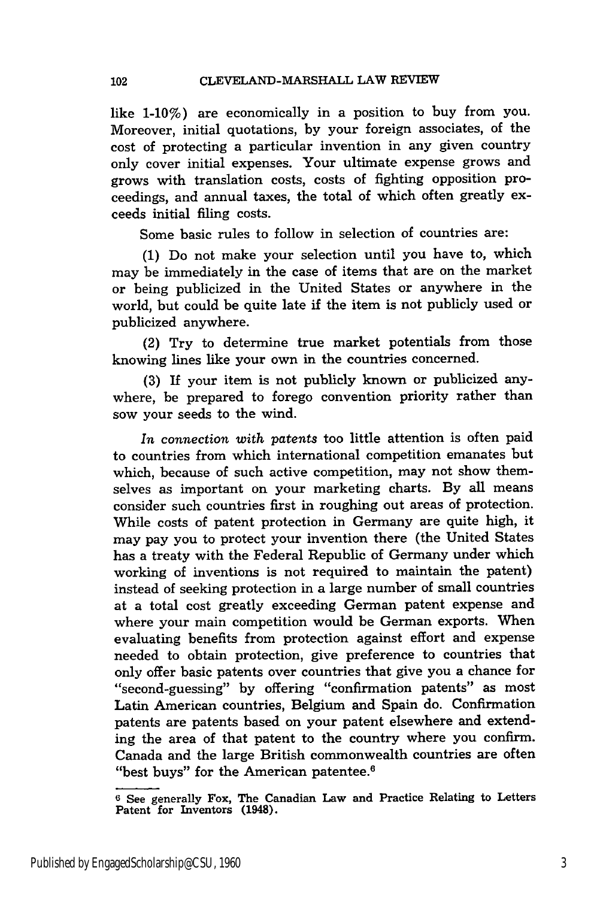like 1-10%) are economically in a position to buy from you. Moreover, initial quotations, by your foreign associates, of the cost of protecting a particular invention in any given country only cover initial expenses. Your ultimate expense grows and grows with translation costs, costs of fighting opposition proceedings, and annual taxes, the total of which often greatly exceeds initial filing costs.

Some basic rules to follow in selection of countries are:

(1) Do not make your selection until you have to, which may be immediately in the case of items that are on the market or being publicized in the United States or anywhere in the world, but could be quite late if the item is not publicly used or publicized anywhere.

(2) Try to determine true market potentials from those knowing lines like your own in the countries concerned.

**(3)** If your item is not publicly known or publicized anywhere, be prepared to forego convention priority rather than sow your seeds to the wind.

*In connection with patents* too little attention is often paid to countries from which international competition emanates but which, because of such active competition, may not show themselves as important on your marketing charts. By all means consider such countries first in roughing out areas of protection. While costs of patent protection in Germany are quite high, it may pay you to protect your invention there (the United States has a treaty with the Federal Republic of Germany under which working of inventions is not required to maintain the patent) instead of seeking protection in a large number of small countries at a total cost greatly exceeding German patent expense and where your main competition would be German exports. When evaluating benefits from protection against effort and expense needed to obtain protection, give preference to countries that only offer basic patents over countries that give you a chance for "second-guessing" by offering "confirmation patents" as most Latin American countries, Belgium and Spain do. Confirmation patents are patents based on your patent elsewhere and extending the area of that patent to the country where you confirm. Canada and the large British commonwealth countries are often "best buys" for the American patentee.<sup>6</sup>

**<sup>6</sup>** See generally Fox, The Canadian Law and Practice Relating to Letters Patent for Inventors (1948)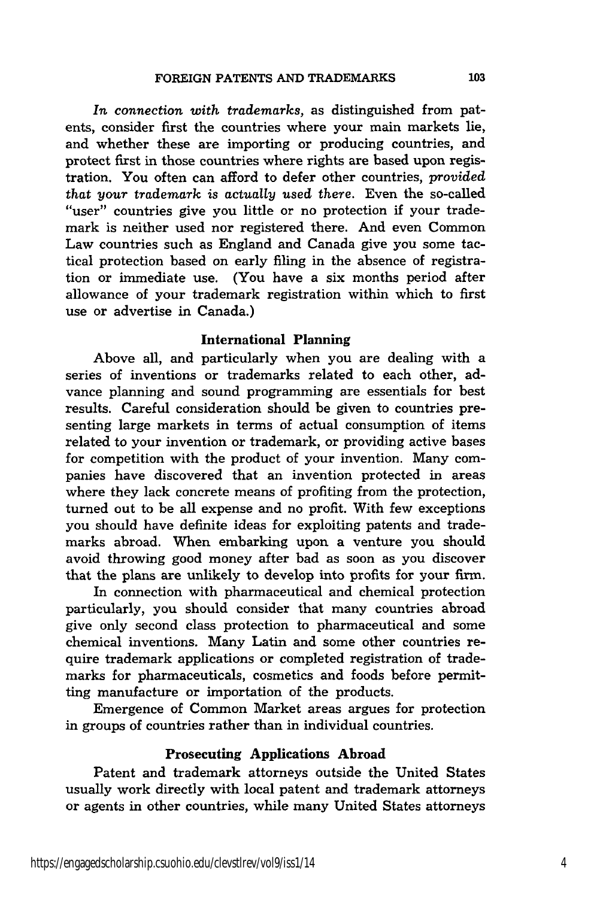*In connection with trademarks,* as distinguished from patents, consider first the countries where your main markets lie, and whether these are importing or producing countries, and protect first in those countries where rights are based upon registration. You often can afford to defer other countries, *provided that your trademark* is actually used there. Even the so-called "user" countries give you little or no protection if your trademark is neither used nor registered there. And even Common Law countries such as England and Canada give you some tactical protection based on early filing in the absence of registration or immediate use. (You have a six months period after allowance of your trademark registration within which to first use or advertise in Canada.)

#### International Planning

Above all, and particularly when you are dealing with a series of inventions or trademarks related to each other, advance planning and sound programming are essentials for best results. Careful consideration should be given to countries presenting large markets in terms of actual consumption of items related to your invention or trademark, or providing active bases for competition with the product of your invention. Many companies have discovered that an invention protected in areas where they lack concrete means of profiting from the protection, turned out to be all expense and no profit. With few exceptions you should have definite ideas for exploiting patents and trademarks abroad. When embarking upon a venture you should avoid throwing good money after bad as soon as you discover that the plans are unlikely to develop into profits for your firm.

In connection with pharmaceutical and chemical protection particularly, you should consider that many countries abroad give only second class protection to pharmaceutical and some chemical inventions. Many Latin and some other countries require trademark applications or completed registration of trademarks for pharmaceuticals, cosmetics and foods before permitting manufacture or importation of the products.

Emergence of Common Market areas argues for protection in groups of countries rather than in individual countries.

### Prosecuting Applications Abroad

Patent and trademark attorneys outside the United States usually work directly with local patent and trademark attorneys or agents in other countries, while many United States attorneys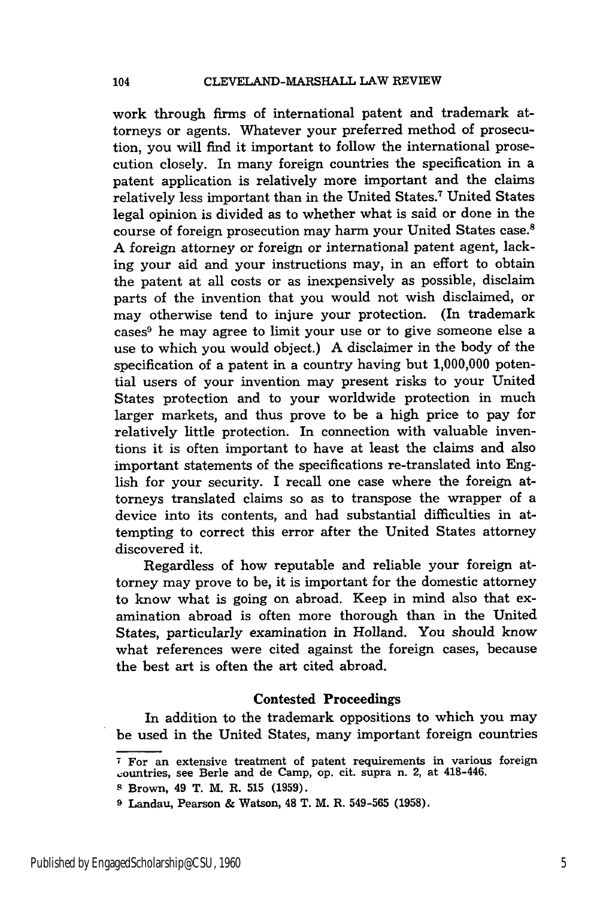work through firms of international patent and trademark attorneys or agents. Whatever your preferred method of prosecution, you will find it important to follow the international prosecution closely. In many foreign countries the specification in a patent application is relatively more important and the claims relatively less important than in the United States.7 United States legal opinion is divided as to whether what is said or done in the course of foreign prosecution may harm your United States case.8 A foreign attorney or foreign or international patent agent, lacking your aid and your instructions may, in an effort to obtain the patent at all costs or as inexpensively as possible, disclaim parts of the invention that you would not wish disclaimed, or may otherwise tend to injure your protection. (In trademark cases9 he may agree to limit your use or to give someone else a use to which you would object.) A disclaimer in the body of the specification of a patent in a country having but 1,000,000 potential users of your invention may present risks to your United States protection and to your worldwide protection in much larger markets, and thus prove to be a high price to pay for relatively little protection. In connection with valuable inventions it is often important to have at least the claims and also important statements of the specifications re-translated into English for your security. I recall one case where the foreign attorneys translated claims so as to transpose the wrapper of a device into its contents, and had substantial difficulties in attempting to correct this error after the United States attorney discovered it.

Regardless of how reputable and reliable your foreign attorney may prove to be, it is important for the domestic attorney to know what is going on abroad. Keep in mind also that examination abroad is often more thorough than in the United States, particularly examination in Holland. You should know what references were cited against the foreign cases, because the best art is often the art cited abroad.

#### Contested Proceedings

In addition to the trademark oppositions to which you may be used in the United States, many important foreign countries

<sup>&</sup>lt;sup>7</sup> For an extensive treatment of patent requirements in various foreign ountries, see Berle and de Camp, op. cit. supra n. 2, at 418-446.

**s** Brown, 49 T. M. R. **515** (1959).

**<sup>9</sup>**Landau, Pearson & Watson, 48 T. M. R. 549-565 (1958).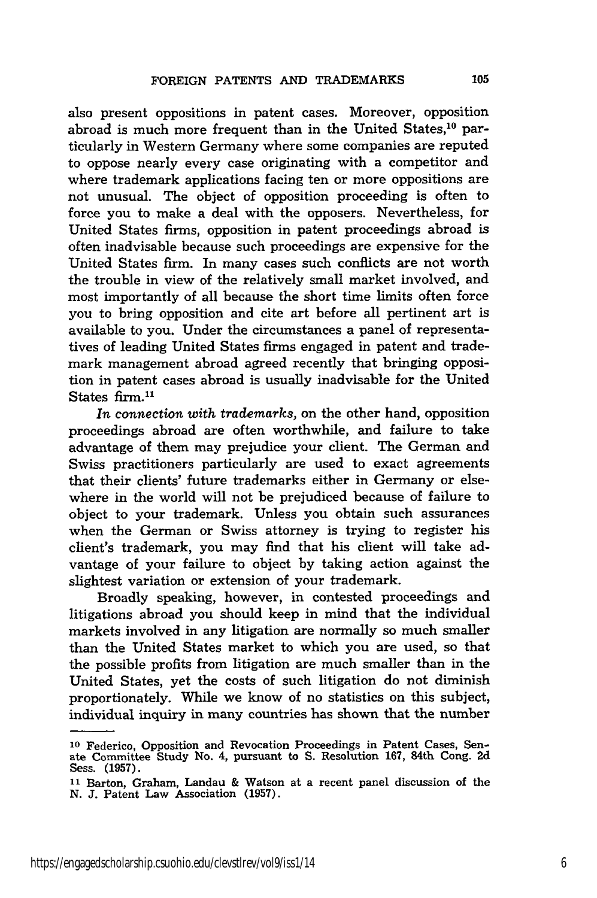also present oppositions in patent cases. Moreover, opposition abroad is much more frequent than in the United States, $^{10}$  particularly in Western Germany where some companies are reputed to oppose nearly every case originating with a competitor and where trademark applications facing ten or more oppositions are not unusual. The object of opposition proceeding is often to force you to make a deal with the opposers. Nevertheless, for United States firms, opposition in patent proceedings abroad is often inadvisable because such proceedings are expensive for the United States firm. In many cases such conflicts are not worth the trouble in view of the relatively small market involved, and most importantly of all because the short time limits often force you to bring opposition and cite art before all pertinent art is available to you. Under the circumstances a panel of representatives of leading United States firms engaged in patent and trademark management abroad agreed recently that bringing opposition in patent cases abroad is usually inadvisable for the United States firm.<sup>11</sup>

*In connection with trademarks,* on the other hand, opposition proceedings abroad are often worthwhile, and failure to take advantage of them may prejudice your client. The German and Swiss practitioners particularly are used to exact agreements that their clients' future trademarks either in Germany or elsewhere in the world will not be prejudiced because of failure to object to your trademark. Unless you obtain such assurances when the German or Swiss attorney is trying to register his client's trademark, you may find that his client will take advantage of your failure to object by taking action against the slightest variation or extension of your trademark.

Broadly speaking, however, in contested proceedings and litigations abroad you should keep in mind that the individual markets involved in any litigation are normally so much smaller than the United States market to which you are used, so that the possible profits from litigation are much smaller than in the United States, yet the costs of such litigation do not diminish proportionately. While we know of no statistics on this subject, individual inquiry in many countries has shown that the number

**<sup>10</sup>** Federico, Opposition and Revocation Proceedings in Patent Cases, Senate Committee Study No. 4, pursuant to S. Resolution 167, 84th Cong. 2d Sess. (1957).

**<sup>11</sup>**Barton, Graham, Landau & Watson at a recent panel discussion of the N. J. Patent Law Association (1957).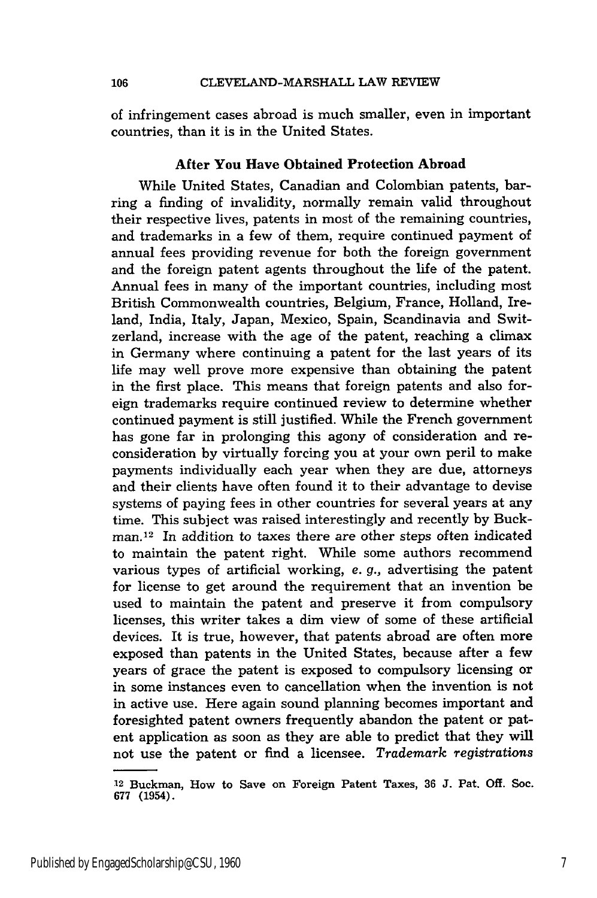of infringement cases abroad is much smaller, even in important countries, than it is in the United States.

#### After **You Have Obtained Protection Abroad**

While United States, Canadian and Colombian patents, barring a finding of invalidity, normally remain valid throughout their respective lives, patents in most of the remaining countries, and trademarks in a few of them, require continued payment of annual fees providing revenue for both the foreign government and the foreign patent agents throughout the life of the patent. Annual fees in many of the important countries, including most British Commonwealth countries, Belgium, France, Holland, Ireland, India, Italy, Japan, Mexico, Spain, Scandinavia and Switzerland, increase with the age of the patent, reaching a climax in Germany where continuing a patent for the last years of its life may well prove more expensive than obtaining the patent in the first place. This means that foreign patents and also foreign trademarks require continued review to determine whether continued payment is still justified. While the French government has gone far in prolonging this agony of consideration and reconsideration by virtually forcing you at your own peril to make payments individually each year when they are due, attorneys and their clients have often found it to their advantage to devise systems of paying fees in other countries for several years at any time. This subject was raised interestingly and recently by Buckman. 12 In addition to taxes there are other steps often indicated to maintain the patent right. While some authors recommend various types of artificial working, *e. g.,* advertising the patent for license to get around the requirement that an invention be used to maintain the patent and preserve it from compulsory licenses, this writer takes a dim view of some of these artificial devices. It is true, however, that patents abroad are often more exposed than patents in the United States, because after a few years of grace the patent is exposed to compulsory licensing or in some instances even to cancellation when the invention is not in active use. Here again sound planning becomes important and foresighted patent owners frequently abandon the patent or patent application as soon as they are able to predict that they will not use the patent or find a licensee. *Trademark registrations*

<sup>&</sup>lt;sup>12</sup> Buckman, How to Save on Foreign Patent Taxes, 36 J. Pat. Off. Soc. 677 (1954).